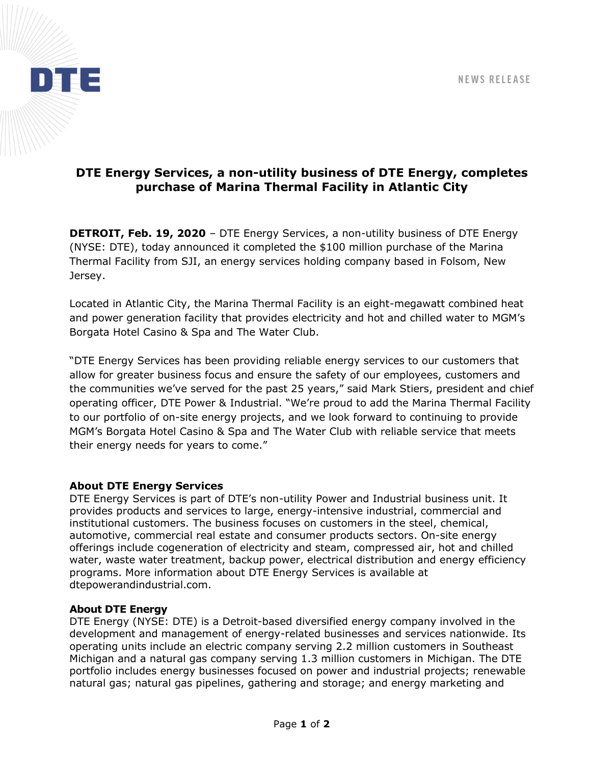

# **DTE Energy Services, a non-utility business of DTE Energy, completes purchase of Marina Thermal Facility in Atlantic City**

**DETROIT, Feb. 19, 2020** – DTE Energy Services, a non-utility business of DTE Energy (NYSE: DTE), today announced it completed the \$100 million purchase of the Marina Thermal Facility from SJI, an energy services holding company based in Folsom, New Jersey.

Located in Atlantic City, the Marina Thermal Facility is an eight-megawatt combined heat and power generation facility that provides electricity and hot and chilled water to MGM's Borgata Hotel Casino & Spa and The Water Club.

"DTE Energy Services has been providing reliable energy services to our customers that allow for greater business focus and ensure the safety of our employees, customers and the communities we've served for the past 25 years," said Mark Stiers, president and chief operating officer, DTE Power & Industrial. "We're proud to add the Marina Thermal Facility to our portfolio of on-site energy projects, and we look forward to continuing to provide MGM's Borgata Hotel Casino & Spa and The Water Club with reliable service that meets their energy needs for years to come."

#### **About DTE Energy Services**

DTE Energy Services is part of DTE's non-utility Power and Industrial business unit. It provides products and services to large, energy-intensive industrial, commercial and institutional customers. The business focuses on customers in the steel, chemical, automotive, commercial real estate and consumer products sectors. On-site energy offerings include cogeneration of electricity and steam, compressed air, hot and chilled water, waste water treatment, backup power, electrical distribution and energy efficiency programs. More information about DTE Energy Services is available at dtepowerandindustrial.com.

#### **About DTE Energy**

DTE Energy (NYSE: DTE) is a Detroit-based diversified energy company involved in the development and management of energy-related businesses and services nationwide. Its operating units include an electric company serving 2.2 million customers in Southeast Michigan and a natural gas company serving 1.3 million customers in Michigan. The DTE portfolio includes energy businesses focused on power and industrial projects; renewable natural gas; natural gas pipelines, gathering and storage; and energy marketing and